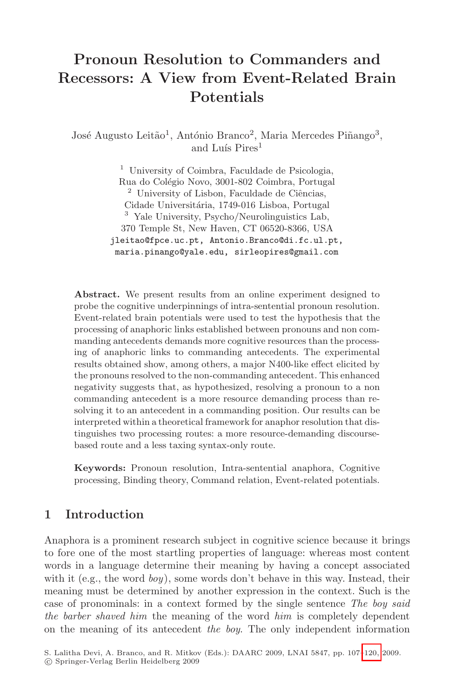# **Pronoun Resolution to Commanders and Recessors: A View from Event-Related Brain Potentials**

José Augusto Leitão<sup>1</sup>, António Branco<sup>2</sup>, Maria Mercedes Piñango<sup>3</sup>, and Luís Pires<sup>1</sup>

> <sup>1</sup> University of Coimbra, Faculdade de Psicologia, Rua do Colégio Novo, 3001-802 Coimbra, Portugal  $2$  University of Lisbon, Faculdade de Ciências, Cidade Universitária, 1749-016 Lisboa, Portugal <sup>3</sup> Yale University, Psycho/Neurolinguistics Lab, 370 Temple St, New Haven, CT 06520-8366, USA jleitao@fpce.uc.pt, Antonio.Branco@di.fc.ul.pt, maria.pinango@yale.edu, sirleopires@gmail.com

**Abstract.** We present results from an online experiment designed to probe the cognitive underpinnings of intra-sentential pronoun resolution. Event-related brain potentials were used to test the hypothesis that the processing of anaphoric links established between pronouns and non commanding antecedents demands more cognitive resources than the processing of anaphoric links to commanding antecedents. The experimental results obtained show, among others, a major N400-like effect elicited by the pronouns resolved to the non-commanding antecedent. This enhanced negativity suggests that, as hypothesized, resolving a pronoun to a non commanding antecedent is a more resource demanding process than resolving it to an antecedent in a commanding position. Our results can be interpreted within a theoretical framework for anaphor resolution that distinguishes two processing routes: a more resource-demanding discoursebased route and a less taxing syntax-only route.

**Keywords:** Pronoun resolution, Intra-sentential anaphora, Cognitive processing, Binding theory, Command relation, Event-related potentials.

# **1 Introduction**

Anaphora is a prominent research subject in cognitive science because it brings to fore one of the most startling properties of la[nguag](#page-13-0)e: whereas most content words in a language determine their meaning by having a concept associated with it (e.g., the word *boy*), some words don't behave in this way. Instead, their meaning must be determined by another expression in the context. Such is the case of pronominals: in a context formed by the single sentence *The boy said the barber shaved him* the meaning of the word *him* is completely dependent on the meaning of its antecedent *the boy*. The only independent information

S. Lalitha Devi, A. Branco, and R. Mitkov (Eds.): DAARC 2009, LNAI 5847, pp. 107–120, 2009. -c Springer-Verlag Berlin Heidelberg 2009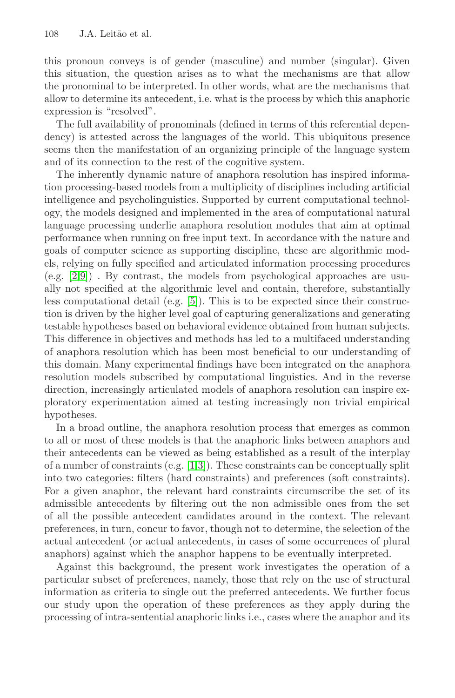#### 108 J.A. Leitão et al.

this pronoun conveys is of gender (masculine) and number (singular). Given this situation, the question arises as to what the mechanisms are that allow the pronominal to be interpreted. In other words, what are the mechanisms that allow to determine its antecedent, i.e. what is the process by which this anaphoric expression is "resolved".

The full availability of pronominals (defined in terms of this referential dependency) is attested across the languages of the world. This ubiquitous presence seems then the manifestation of an organizing principle of the language system and of its connection to the rest of the cognitive system.

The inherently dynamic nature of anaphora resolution has inspired information processing-based models from a multiplicity of disciplines including artificial intelligence [an](#page-13-1)d psycholinguistics. Supported by current computational technology, the models designed and implemented in the area of computational natural language processing underlie anaphora resolution modules that aim at optimal performance when running on free input text. In accordance with the nature and goals of computer science as supporting discipline, these are algorithmic models, relying on fully specified and articulated information processing procedures (e.g. [2,9]) . By contrast, the models from psychological approaches are usually not specified at the algorithmic level and contain, therefore, substantially less computational detail (e.g. [5]). This is to be expected since their construction is driven by the higher level goal of capturing generalizations and generating testable hypotheses based on behavioral evidence obtained from human subjects. This difference in objectives and methods has led to a multifaced understanding of anaphora resolution which has been most beneficial to our understanding of this domain[.](#page-12-0) [Ma](#page-12-1)ny experimental findings have been integrated on the anaphora resolution models subscribed by computational linguistics. And in the reverse direction, increasingly articulated models of anaphora resolution can inspire exploratory experimentation aimed at testing increasingly non trivial empirical hypotheses.

In a broad outline, the anaphora resolution process that emerges as common to all or most of these models is that the anaphoric links between anaphors and their antecedents can be viewed as being established as a result of the interplay of a number of constraints (e.g. [1,3]). These constraints can be conceptually split into two categories: filters (hard constraints) and preferences (soft constraints). For a given anaphor, the relevant hard constraints circumscribe the set of its admissible antecedents by filtering out the non admissible ones from the set of all the possible antecedent candidates around in the context. The relevant preferences, in turn, concur to favor, though not to determine, the selection of the actual antecedent (or actual antecedents, in cases of some occurrences of plural anaphors) against which the anaphor happens to be eventually interpreted.

Against this background, the present work investigates the operation of a particular subset of preferences, namely, those that rely on the use of structural information as criteria to single out the preferred antecedents. We further focus our study upon the operation of these preferences as they apply during the processing of intra-sentential anaphoric links i.e., cases where the anaphor and its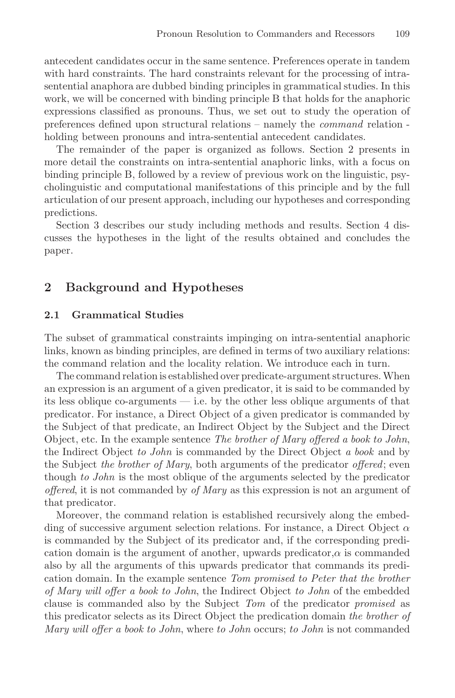antecedent candidates occur in the same sentence. Preferences operate in tandem with hard constraints. The hard constraints relevant for the processing of intrasentential anaphora are dubbed binding principles in grammatical studies. In this work, we will be concerned with binding principle B that holds for the anaphoric expressions classified as pronouns. Thus, we set out to study the operation of preferences defined upon structural relations – namely the *command* relation holding between pronouns and intra-sentential antecedent candidates.

The remainder of the paper is organized as follows. Section 2 presents in more detail the constraints on intra-sentential anaphoric links, with a focus on binding principle B, followed by a review of previous work on the linguistic, psycholinguistic and computational manifestations of this principle and by the full articulation of our present approach, including our hypotheses and corresponding predictions.

Section 3 describes our study including methods and results. Section 4 discusses the hypotheses in the light of the results obtained and concludes the paper.

## **2 Background and Hypotheses**

#### **2.1 Grammatical Studies**

The subset of grammatical constraints impinging on intra-sentential anaphoric links, known as binding principles, are defined in terms of two auxiliary relations: the command relation and the locality relation. We introduce each in turn.

The command relation is established over predicate-argument structures.When an expression is an argument of a given predicator, it is said to be commanded by its less oblique co-arguments — i.e. by the other less oblique arguments of that predicator. For instance, a Direct Object of a given predicator is commanded by the Subject of that predicate, an Indirect Object by the Subject and the Direct Object, etc. In the example sentence *The brother of Mary offered a book to John*, the Indirect Object *to John* is commanded by the Direct Object *a book* and by the Subject *the brother of Mary*, both arguments of the predicator *offered*; even though *to John* is the most oblique of the arguments selected by the predicator *offered*, it is not commanded by *of Mary* as this expression is not an argument of that predicator.

Moreover, the command relation is established recursively along the embedding of successive argument selection relations. For instance, a Direct Object  $\alpha$ is commanded by the Subject of its predicator and, if the corresponding predication domain is the argument of another, upwards predicator, $\alpha$  is commanded also by all the arguments of this upwards predicator that commands its predication domain. In the example sentence *Tom promised to Peter that the brother of Mary will offer a book to John*, the Indirect Object *to John* of the embedded clause is commanded also by the Subject *Tom* of the predicator *promised* as this predicator selects as its Direct Object the predication domain *the brother of Mary will offer a book to John*, where *to John* occurs; *to John* is not commanded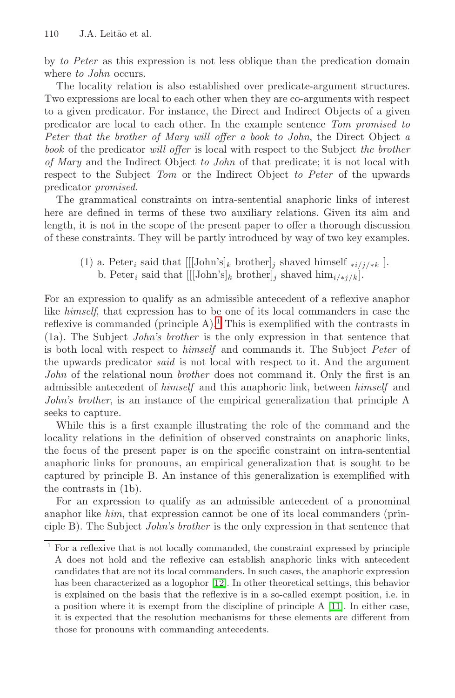110 J.A. Leitão et al.

by *to Peter* as this expression is not less oblique than the predication domain where *to John* occurs.

The locality relation is also established over predicate-argument structures. Two expressions are local to each other when they are co-arguments with respect to a given predicator. For instance, the Direct and Indirect Objects of a given predicator are local to each other. In the example sentence *Tom promised to Peter that the brother of Mary will offer a book to John*, the Direct Object *a book* of the predicator *will offer* is local with respect to the Subject *the brother of Mary* and the Indirect Object *to John* of that predicate; it is not local with respect to the Subject *Tom* or the Indirect Object *to Peter* of the upwards predicator *promised*.

The grammatical constraints on intra-sentential anaphoric links of interest here are defined in terms of these two auxiliary relations. Given its aim and length, it is not in [t](#page-3-0)he scope of the present paper to offer a thorough discussion of these constraints. They will be partly introduced by way of two key examples.

> (1) a. Peter<sub>*i*</sub> said that  $[[[John's]_k$  brother]<sub>*j*</sub> shaved himself \**i*/*j*/\**k* ]. b. Peter<sub>*i*</sub> said that  $[[[John's]_k]$  brother]*j* shaved  $\lim_{i \to j}$  /*k*].

For an expression to qualify as an admissible antecedent of a reflexive anaphor like *himself*, that expression has to be one of its local commanders in case the reflexive is commanded (principle  $A$ ).<sup>1</sup> This is exemplified with the contrasts in (1a). The Subject *John's brother* is the only expression in that sentence that is both local with respect to *himself* and commands it. The Subject *Peter* of the upwards predicator *said* is not local with respect to it. And the argument *John* of the relational noun *brother* does not command it. Only the first is an admissible antecedent of *himself* and this anaphoric link, between *himself* and *John's brother*, is an instance of the empirical generalization that principle A seeks to capture.

<span id="page-3-0"></span>While this is a first example illustrating the role of the command and the locality relations in the definition of observed constraints on anaphoric links, the focus of the present paper is on the specific constraint on intra-sentential anaphoric links for pronouns, an empirical generalization that is sought to be captured by principle B. An instance of this generalization is exemplified with the contrasts in ([1b\)](#page-13-2).

For an expression to qualify as an admissible antecedent of a pronominal anaphor like *him*, that expression cannot b[e](#page-13-3) [o](#page-13-3)ne of its local commanders (principle B). The Subject *John's brother* is the only expression in that sentence that

 $1$  For a reflexive that is not locally commanded, the constraint expressed by principle A does not hold and the reflexive can establish anaphoric links with antecedent candidates that are not its local commanders. In such cases, the anaphoric expression has been characterized as a logophor [12]. In other theoretical settings, this behavior is explained on the basis that the reflexive is in a so-called exempt position, i.e. in a position where it is exempt from the discipline of principle A [11]. In either case, it is expected that the resolution mechanisms for these elements are different from those for pronouns with commanding antecedents.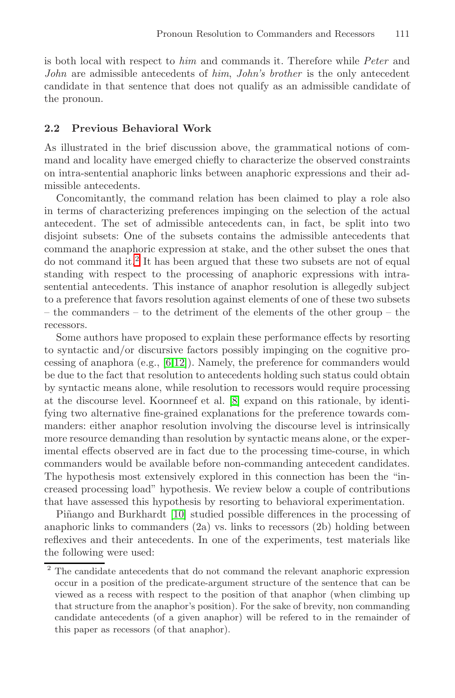is both local with respect to *him* and commands it. Therefore while *Peter* and *John* are admissible antecedents of *him*, *John's brother* is the only antecedent candidate in that sentence that does not qualify as an admissible candidate of the pronoun.

#### **2.2 Previous Behavioral Work**

As illustrated in the brief discussion above, the grammatical notions of com[m](#page-4-0)and and locality have emerged chiefly to characterize the observed constraints on intra-sentential anaphoric links between anaphoric expressions and their admissible antecedents.

Concomitantly, the command relation has been claimed to play a role also in terms of characterizing preferences impinging on the selection of the actual antecedent. The set of admissible antecedents can, in fact, be split into two disjoint subsets: One of the subsets contains the admissible antecedents that command the anaphoric expression at stake, and the other subset the ones that do not [co](#page-13-4)[mm](#page-13-2)and it.<sup>2</sup> It has been argued that these two subsets are not of equal standing with respect to the processing of anaphoric expressions with intrasentential antecedents. This instance of anaphor resolution is allegedly subject to a preference that f[avo](#page-13-5)rs resolution against elements of one of these two subsets – the commanders – to the detriment of the elements of the other group – the recessors.

Some authors have proposed to explain these performance effects by resorting to syntactic and/or discursive factors possibly impinging on the cognitive processing of anaphora (e.g., [6,12]). Namely, the preference for commanders would be due to the fact that resolution to antecedents holding such status could obtain by syntactic means alone, while resolution to recessors would require processing at the discourse level. Koornneef et al. [8] expand on this rationale, by identifying tw[o al](#page-13-6)ternative fine-grained explanations for the preference towards commanders: either anaphor resolution involving the discourse level is intrinsically more resource demanding than resolution by syntactic means alone, or the experimental effects observed are in fact due to the processing time-course, in which commanders would be available before non-commanding antecedent candidates. The hypothesis most extensively explored in this connection has been the "increased processing load" hypothesis. We review below a couple of contributions that have assessed this hypothesis by resorting to behavioral experimentation.

<span id="page-4-0"></span>Piñango and Burkhardt [10] studied possible differences in the processing of anaphoric links to commanders (2a) vs. links to recessors (2b) holding between reflexives and their antecedents. In one of the experiments, test materials like the following were used:

<sup>2</sup> The candidate antecedents that do not command the relevant anaphoric expression occur in a position of the predicate-argument structure of the sentence that can be viewed as a recess with respect to the position of that anaphor (when climbing up that structure from the anaphor's position). For the sake of brevity, non commanding candidate antecedents (of a given anaphor) will be refered to in the remainder of this paper as recessors (of that anaphor).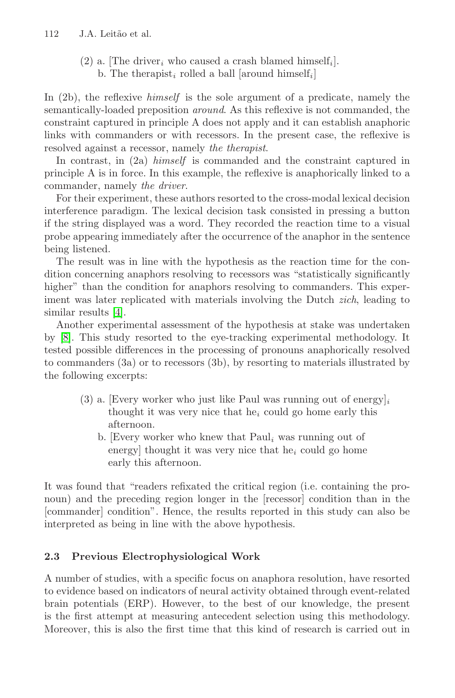112 J.A. Leitão et al.

(2) a. [The driver<sub>i</sub> who caused a crash blamed himself<sub>i</sub>]. b. The therapist<sub>i</sub> rolled a ball [around himself<sub>i</sub>]

In (2b), the reflexive *himself* is the sole argument of a predicate, namely the semantically-loaded preposition *around*. As this reflexive is not commanded, the constraint captured in principle A does not apply and it can establish anaphoric links with commanders or with recessors. In the present case, the reflexive is resolved against a recessor, namely *the therapist*.

In contrast, in (2a) *himself* is commanded and the constraint captured in principle A is in force. In this example, the reflexive is anaphorically linked to a commander, namely *the driver*.

For their experiment, these authors resorted to the cross-modal lexical decision interference paradigm. The lexical decision task consisted in pressing a button if the string displayed was a word. They recorded the reaction time to a visual probe appearing immediately after the occurrence of the anaphor in the sentence being listened.

The result was in line with the hypothesis as the reaction time for the condition concerning anaphors resolving to recessors was "statistically significantly higher" than the condition for anaphors resolving to commanders. This experiment was later replicated with materials involving the Dutch *zich*, leading to similar results [4].

Another experimental assessment of the hypothesis at stake was undertaken by [8]. This study resorted to the eye-tracking experimental methodology. It tested possible differences in the processing of pronouns anaphorically resolved to commanders (3a) or to recessors (3b), by resorting to materials illustrated by the following excerpts:

- (3) a. [Every worker who just like Paul was running out of energy]<sub>i</sub> thought it was very nice that he*<sup>i</sup>* could go home early this afternoon.
	- b. [Every worker who knew that Paul*<sup>i</sup>* was running out of energy] thought it was very nice that he*<sup>i</sup>* could go home early this afternoon.

It was found that "readers refixated the critical region (i.e. containing the pronoun) and the preceding region longer in the [recessor] condition than in the [commander] condition". Hence, the results reported in this study can also be interpreted as being in line with the above hypothesis.

#### **2.3 Previous Electrophysiological Work**

A number of studies, with a specific focus on anaphora resolution, have resorted to evidence based on indicators of neural activity obtained through event-related brain potentials (ERP). However, to the best of our knowledge, the present is the first attempt at measuring antecedent selection using this methodology. Moreover, this is also the first time that this kind of research is carried out in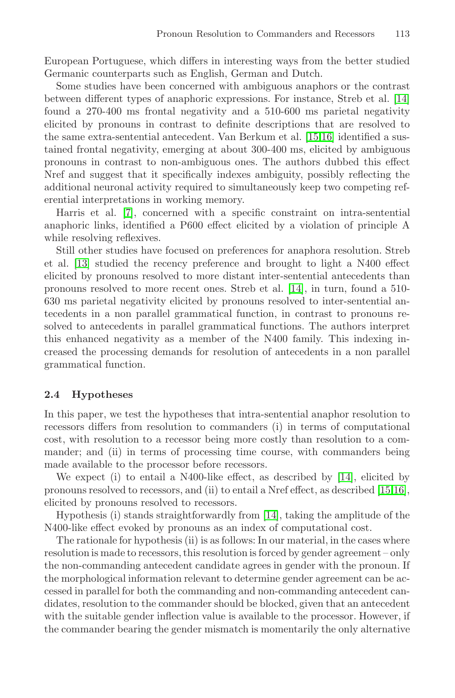European Portuguese, which differs in interesting ways from the better studied Germanic counterparts such as English, German and Dutch.

Some studies have been concerned with ambiguous anaphors or the contrast between different types of anaphoric expressions. For instance, Streb et al. [14] [f](#page-13-9)ound a 270-400 ms frontal negativity and a 510-600 ms parietal negativity elicited by pronouns in contrast to definite descriptions that are resolved to the same extra-sentential antecedent. Van Berkum et al. [15,16] identified a sustained frontal negativity, emerging at about 300-400 ms, elicited by ambiguous pronouns in contrast to non-ambiguous ones. The authors dubbed this effect Nref and suggest that it specifically indexes ambiguity, possibly reflecting the additional neuronal activity requir[ed](#page-13-10) to simultaneously keep two competing referential interpretations in working memory.

Harris et al. [7], concerned with a specific constraint on intra-sentential anaphoric links, identified a P600 effect elicited by a violation of principle A while resolving reflexives.

Still other studies have focused on preferences for anaphora resolution. Streb et al. [13] studied the recency preference and brought to light a N400 effect elicited by pronouns resolved to more distant inter-sentential antecedents than pronouns resolved to more recent ones. Streb et al. [14], in turn, found a 510- 630 ms parietal negativity elicited by pronouns resolved to inter-sentential antecedents in a non parallel grammatical function, in contrast to pronouns resolved to antecedents in parallel grammatical functions. The authors interpret this enhanced negativity as a member of the N400 family. This indexing increased the processing demands for resolution of antecedents in a non parallel grammatical function.

#### **2.4 Hypotheses**

In this paper, we test the hy[poth](#page-13-10)eses that intra-sentential anaphor resolution to recessors differs from resolution to commanders (i) in terms of computational cost, with resolution to a recessor being more costly than resolution to a commander; and (ii) in terms of processing time course, with commanders being made available to the processor before recessors.

We expect (i) to entail a N400-like effect, as described by [14], elicited by pronouns resolved to recessors, and (ii) to entail a Nref effect, as described [15,16], elicited by pronouns resolved to recessors.

Hypothesis (i) stands straightforwardly from [14], taking the amplitude of the N400-like effect evoked by pronouns as an index of computational cost.

The rationale for hypothesis (ii) is as follows: In our material, in the cases where resolution is made to recessors, this resolution is forced by gender agreement – only the non-commanding antecedent candidate agrees in gender with the pronoun. If the morphological information relevant to determine gender agreement can be accessed in parallel for both the commanding and non-commanding antecedent candidates, resolution to the commander should be blocked, given that an antecedent with the suitable gender inflection value is available to the processor. However, if the commander bearing the gender mismatch is momentarily the only alternative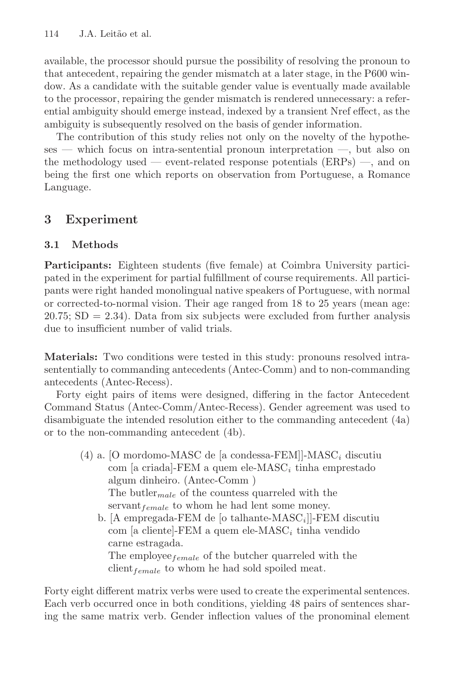available, the processor should pursue the possibility of resolving the pronoun to that antecedent, repairing the gender mismatch at a later stage, in the P600 window. As a candidate with the suitable gender value is eventually made available to the processor, repairing the gender mismatch is rendered unnecessary: a referential ambiguity should emerge instead, indexed by a transient Nref effect, as the ambiguity is subsequently resolved on the basis of gender information.

The contribution of this study relies not only on the novelty of the hypotheses — which focus on intra-sentential pronoun interpretation —, but also on the methodology used — event-related response potentials (ERPs) —, and on being the first one which reports on observation from Portuguese, a Romance Language.

# **3 Experiment**

# **3.1 Methods**

**Participants:** Eighteen students (five female) at Coimbra University participated in the experiment for partial fulfillment of course requirements. All participants were right handed monolingual native speakers of Portuguese, with normal or corrected-to-normal vision. Their age ranged from 18 to 25 years (mean age:  $20.75$ ; SD = 2.34). Data from six subjects were excluded from further analysis due to insufficient number of valid trials.

**Materials:** Two conditions were tested in this study: pronouns resolved intrasententially to commanding antecedents (Antec-Comm) and to non-commanding antecedents (Antec-Recess).

Forty eight pairs of items were designed, differing in the factor Antecedent Command Status (Antec-Comm/Antec-Recess). Gender agreement was used to disambiguate the intended resolution either to the commanding antecedent (4a) or to the non-commanding antecedent (4b).

- (4) a. [O mordomo-MASC de [a condessa-FEM]]-MASC*<sup>i</sup>* discutiu com [a criada]-FEM a quem ele-MASC*<sup>i</sup>* tinha emprestado algum dinheiro. (Antec-Comm ) The butler*male* of the countess quarreled with the servant<sub>female</sub> to whom he had lent some money. b. [A empregada-FEM de [o talhante-MASC*i*]]-FEM discutiu
	- com [a cliente]-FEM a quem ele-MASC*<sup>i</sup>* tinha vendido carne estragada.

The employee*f emale* of the butcher quarreled with the client*f emale* to whom he had sold spoiled meat.

Forty eight different matrix verbs were used to create the experimental sentences. Each verb occurred once in both conditions, yielding 48 pairs of sentences sharing the same matrix verb. Gender inflection values of the pronominal element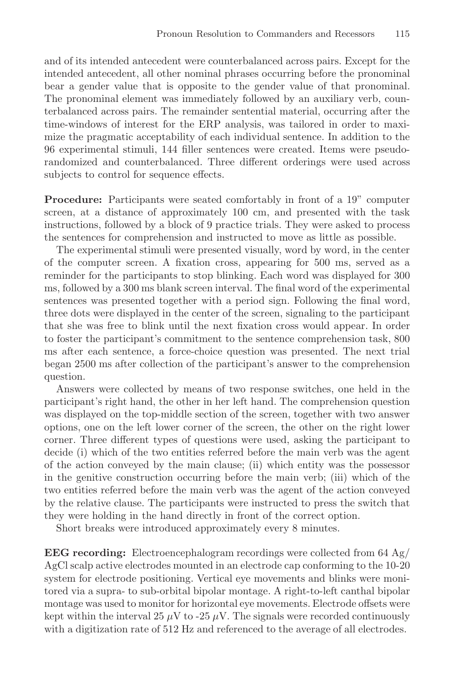and of its intended antecedent were counterbalanced across pairs. Except for the intended antecedent, all other nominal phrases occurring before the pronominal bear a gender value that is opposite to the gender value of that pronominal. The pronominal element was immediately followed by an auxiliary verb, counterbalanced across pairs. The remainder sentential material, occurring after the time-windows of interest for the ERP analysis, was tailored in order to maximize the pragmatic acceptability of each individual sentence. In addition to the 96 experimental stimuli, 144 filler sentences were created. Items were pseudorandomized and counterbalanced. Three different orderings were used across subjects to control for sequence effects.

**Procedure:** Participants were seated comfortably in front of a 19" computer screen, at a distance of approximately 100 cm, and presented with the task instructions, followed by a block of 9 practice trials. They were asked to process the sentences for comprehension and instructed to move as little as possible.

The experimental stimuli were presented visually, word by word, in the center of the computer screen. A fixation cross, appearing for 500 ms, served as a reminder for the participants to stop blinking. Each word was displayed for 300 ms, followed by a 300 ms blank screen interval. The final word of the experimental sentences was presented together with a period sign. Following the final word, three dots were displayed in the center of the screen, signaling to the participant that she was free to blink until the next fixation cross would appear. In order to foster the participant's commitment to the sentence comprehension task, 800 ms after each sentence, a force-choice question was presented. The next trial began 2500 ms after collection of the participant's answer to the comprehension question.

Answers were collected by means of two response switches, one held in the participant's right hand, the other in her left hand. The comprehension question was displayed on the top-middle section of the screen, together with two answer options, one on the left lower corner of the screen, the other on the right lower corner. Three different types of questions were used, asking the participant to decide (i) which of the two entities referred before the main verb was the agent of the action conveyed by the main clause; (ii) which entity was the possessor in the genitive construction occurring before the main verb; (iii) which of the two entities referred before the main verb was the agent of the action conveyed by the relative clause. The participants were instructed to press the switch that they were holding in the hand directly in front of the correct option.

Short breaks were introduced approximately every 8 minutes.

**EEG recording:** Electroencephalogram recordings were collected from 64 Ag/ AgCl scalp active electrodes mounted in an electrode cap conforming to the 10-20 system for electrode positioning. Vertical eye movements and blinks were monitored via a supra- to sub-orbital bipolar montage. A right-to-left canthal bipolar montage was used to monitor for horizontal eye movements. Electrode offsets were kept within the interval 25  $\mu$ V to -25  $\mu$ V. The signals were recorded continuously with a digitization rate of 512 Hz and referenced to the average of all electrodes.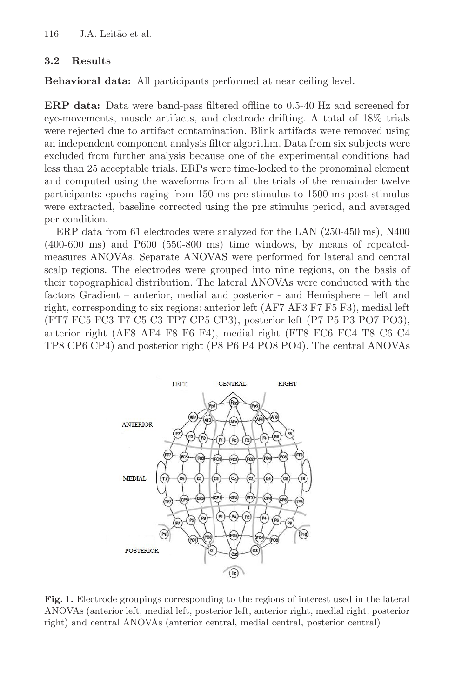#### **3.2 Results**

**Behavioral data:** All participants performed at near ceiling level.

**ERP data:** Data were band-pass filtered offline to 0.5-40 Hz and screened for eye-movements, muscle artifacts, and electrode drifting. A total of 18% trials were rejected due to artifact contamination. Blink artifacts were removed using an independent component analysis filter algorithm. Data from six subjects were excluded from further analysis because one of the experimental conditions had less than 25 acceptable trials. ERPs were time-locked to the pronominal element and computed using the waveforms from all the trials of the remainder twelve participants: epochs raging from 150 ms pre stimulus to 1500 ms post stimulus were extracted, baseline corrected using the pre stimulus period, and averaged per condition.

ERP data from 61 electrodes were analyzed for the LAN (250-450 ms), N400 (400-600 ms) and P600 (550-800 ms) time windows, by means of repeatedmeasures ANOVAs. Separate ANOVAS were performed for lateral and central scalp regions. The electrodes were grouped into nine regions, on the basis of their topographical distribution. The lateral ANOVAs were conducted with the factors Gradient – anterior, medial and posterior - and Hemisphere – left and right, corresponding to six regions: anterior left (AF7 AF3 F7 F5 F3), medial left (FT7 FC5 FC3 T7 C5 C3 TP7 CP5 CP3), posterior left (P7 P5 P3 PO7 PO3), anterior right (AF8 AF4 F8 F6 F4), medial right (FT8 FC6 FC4 T8 C6 C4 TP8 CP6 CP4) and posterior right (P8 P6 P4 PO8 PO4). The central ANOVAs



**Fig. 1.** Electrode groupings corresponding to the regions of interest used in the lateral ANOVAs (anterior left, medial left, posterior left, anterior right, medial right, posterior right) and central ANOVAs (anterior central, medial central, posterior central)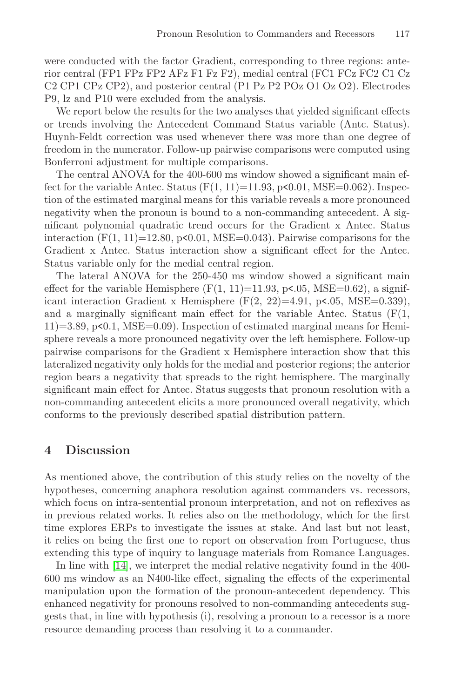were conducted with the factor Gradient, corresponding to three regions: anterior central (FP1 FPz FP2 AFz F1 Fz F2), medial central (FC1 FCz FC2 C1 Cz C2 CP1 CPz CP2), and posterior central (P1 Pz P2 POz O1 Oz O2). Electrodes P9, lz and P10 were excluded from the analysis.

We report below the results for the two analyses that yielded significant effects or trends involving the Antecedent Command Status variable (Antc. Status). Huynh-Feldt correction was used whenever there was more than one degree of freedom in the numerator. Follow-up pairwise comparisons were computed using Bonferroni adjustment for multiple comparisons.

The central ANOVA for the 400-600 ms window showed a significant main effect for the variable Antec. Status  $(F(1, 11)=11.93, p<0.01, MSE=0.062)$ . Inspection of the estimated marginal means for this variable reveals a more pronounced negativity when the pronoun is bound to a non-commanding antecedent. A significant polynomial quadratic trend occurs for the Gradient x Antec. Status interaction  $(F(1, 11)=12.80, p<0.01, MSE=0.043)$ . Pairwise comparisons for the Gradient x Antec. Status interaction show a significant effect for the Antec. Status variable only for the medial central region.

The lateral ANOVA for the 250-450 ms window showed a significant main effect for the variable Hemisphere  $(F(1, 11)=11.93, p<.05, MSE=0.62)$ , a significant interaction Gradient x Hemisphere  $(F(2, 22)=4.91, p<.05, MSE=0.339)$ , and a marginally significant main effect for the variable Antec. Status  $(F(1,$  $11)=3.89$ , p<0.1, MSE=0.09). Inspection of estimated marginal means for Hemisphere reveals a more pronounced negativity over the left hemisphere. Follow-up pairwise comparisons for the Gradient x Hemisphere interaction show that this lateralized negativity only holds for the medial and posterior regions; the anterior region bears a negativity that spreads to the right hemisphere. The marginally significant main effect for Antec. Status suggests that pronoun resolution with a non-commanding antecedent elicits a more pronounced overall negativity, which conforms to the previously described spatial distribution pattern.

#### **4 Discussion**

As mentioned above, the contribution of this study relies on the novelty of the hypotheses, concerning anaphora resolution against commanders vs. recessors, which focus on intra-sentential pronoun interpretation, and not on reflexives as in previous related works. It relies also on the methodology, which for the first time explores ERPs to investigate the issues at stake. And last but not least, it relies on being the first one to report on observation from Portuguese, thus extending this type of inquiry to language materials from Romance Languages.

In line with [14], we interpret the medial relative negativity found in the 400-600 ms window as an N400-like effect, signaling the effects of the experimental manipulation upon the formation of the pronoun-antecedent dependency. This enhanced negativity for pronouns resolved to non-commanding antecedents suggests that, in line with hypothesis (i), resolving a pronoun to a recessor is a more resource demanding process than resolving it to a commander.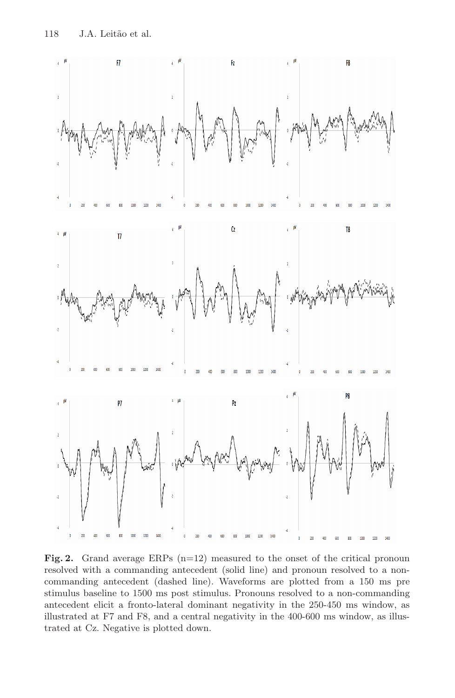

**Fig. 2.** Grand average ERPs  $(n=12)$  measured to the onset of the critical pronoun resolved with a commanding antecedent (solid line) and pronoun resolved to a noncommanding antecedent (dashed line). Waveforms are plotted from a 150 ms pre stimulus baseline to 1500 ms post stimulus. Pronouns resolved to a non-commanding antecedent elicit a fronto-lateral dominant negativity in the 250-450 ms window, as illustrated at F7 and F8, and a central negativity in the 400-600 ms window, as illustrated at Cz. Negative is plotted down.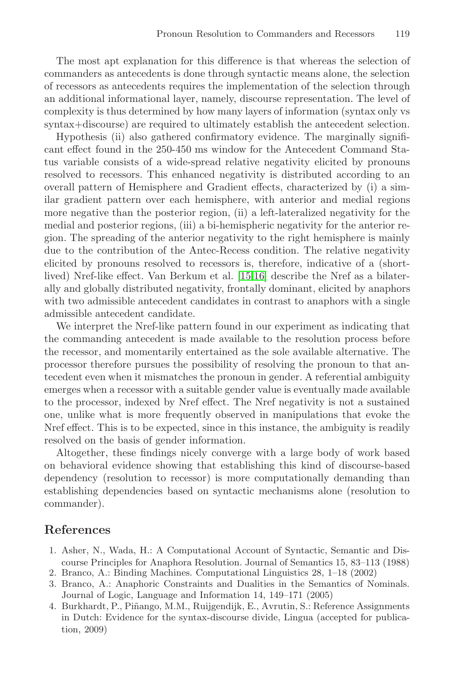The most apt explanation for this difference is that whereas the selection of commanders as antecedents is done through syntactic means alone, the selection of recessors as antecedents requires the implementation of the selection through an additional informational layer, namely, discourse representation. The level of complexity is thus determined by how many layers of information (syntax only vs syntax+discourse) are required to ultimately establish the antecedent selection.

Hypothesis (ii) also gathered confirmatory evidence. The marginally significant effect found in the 250-450 ms window for the Antecedent Command Status variable consists of a wide-spread relative negativity elicited by pronouns resolved to recessors. [Thi](#page-13-7)[s en](#page-13-8)hanced negativity is distributed according to an overall pattern of Hemisphere and Gradient effects, characterized by (i) a similar gradient pattern over each hemisphere, with anterior and medial regions more negative than the posterior region, (ii) a left-lateralized negativity for the medial and posterior regions, (iii) a bi-hemispheric negativity for the anterior region. The spreading of the anterior negativity to the right hemisphere is mainly due to the contribution of the Antec-Recess condition. The relative negativity elicited by pronouns resolved to recessors is, therefore, indicative of a (shortlived) Nref-like effect. Van Berkum et al. [15,16] describe the Nref as a bilaterally and globally distributed negativity, frontally dominant, elicited by anaphors with two admissible antecedent candidates in contrast to anaphors with a single admissible antecedent candidate.

We interpret the Nref-like pattern found in our experiment as indicating that the commanding antecedent is made available to the resolution process before the recessor, and momentarily entertained as the sole available alternative. The processor therefore pursues the possibility of resolving the pronoun to that antecedent even when it mismatches the pronoun in gender. A referential ambiguity emerges when a recessor with a suitable gender value is eventually made available to the processor, indexed by Nref effect. The Nref negativity is not a sustained one, unlike what is more frequently observed in manipulations that evoke the Nref effect. This is to be expected, since in this instance, the ambiguity is readily resolved on the basis of gender information.

<span id="page-12-1"></span><span id="page-12-0"></span>Altogether, these findings nicely converge with a large body of work based on behavioral evidence showing that establishing this kind of discourse-based dependency (resolution to recessor) is more computationally demanding than establishing dependencies based on syntactic mechanisms alone (resolution to commander).

## **References**

- 1. Asher, N., Wada, H.: A Computational Account of Syntactic, Semantic and Discourse Principles for Anaphora Resolution. Journal of Semantics 15, 83–113 (1988)
- 2. Branco, A.: Binding Machines. Computational Linguistics 28, 1–18 (2002)
- 3. Branco, A.: Anaphoric Constraints and Dualities in the Semantics of Nominals. Journal of Logic, Language and Information 14, 149–171 (2005)
- 4. Burkhardt, P., Piñango, M.M., Ruijgendijk, E., Avrutin, S.: Reference Assignments in Dutch: Evidence for the syntax-discourse divide, Lingua (accepted for publication, 2009)